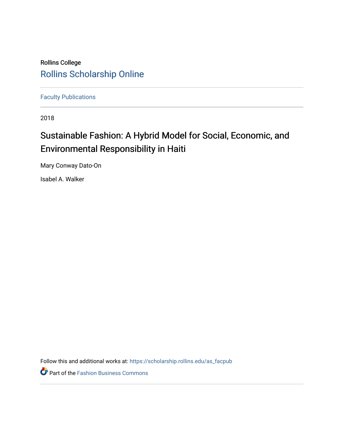## Rollins College [Rollins Scholarship Online](https://scholarship.rollins.edu/)

[Faculty Publications](https://scholarship.rollins.edu/as_facpub)

2018

# Sustainable Fashion: A Hybrid Model for Social, Economic, and Environmental Responsibility in Haiti

Mary Conway Dato-On

Isabel A. Walker

Follow this and additional works at: [https://scholarship.rollins.edu/as\\_facpub](https://scholarship.rollins.edu/as_facpub?utm_source=scholarship.rollins.edu%2Fas_facpub%2F251&utm_medium=PDF&utm_campaign=PDFCoverPages) 

**Part of the Fashion Business Commons**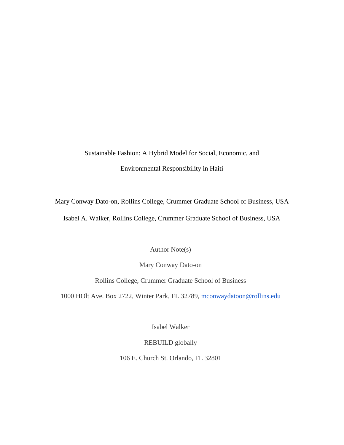## Sustainable Fashion: A Hybrid Model for Social, Economic, and Environmental Responsibility in Haiti

Mary Conway Dato-on, Rollins College, Crummer Graduate School of Business, USA

Isabel A. Walker, Rollins College, Crummer Graduate School of Business, USA

Author Note(s)

Mary Conway Dato-on

Rollins College, Crummer Graduate School of Business

1000 HOlt Ave. Box 2722, Winter Park, FL 32789, [mconwaydatoon@rollins.edu](mailto:mconwaydatoon@rollins.edu)

Isabel Walker

REBUILD globally

106 E. Church St. Orlando, FL 32801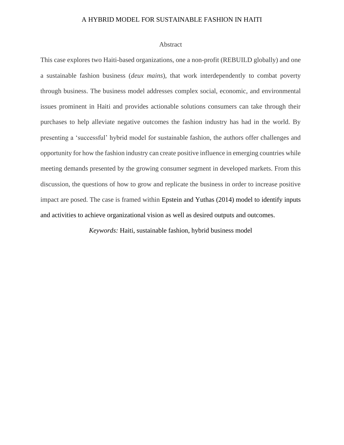#### Abstract

This case explores two Haiti-based organizations, one a non-profit (REBUILD globally) and one a sustainable fashion business (*deux mains*), that work interdependently to combat poverty through business. The business model addresses complex social, economic, and environmental issues prominent in Haiti and provides actionable solutions consumers can take through their purchases to help alleviate negative outcomes the fashion industry has had in the world. By presenting a 'successful' hybrid model for sustainable fashion, the authors offer challenges and opportunity for how the fashion industry can create positive influence in emerging countries while meeting demands presented by the growing consumer segment in developed markets. From this discussion, the questions of how to grow and replicate the business in order to increase positive impact are posed. The case is framed within Epstein and Yuthas (2014) model to identify inputs and activities to achieve organizational vision as well as desired outputs and outcomes.

*Keywords:* Haiti, sustainable fashion, hybrid business model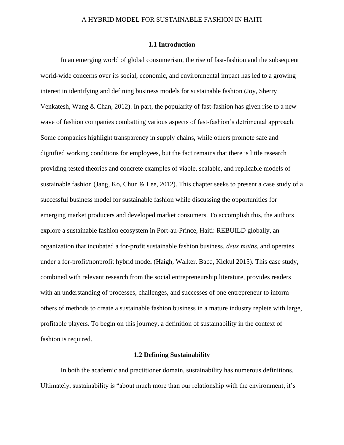#### **1.1 Introduction**

In an emerging world of global consumerism, the rise of fast-fashion and the subsequent world-wide concerns over its social, economic, and environmental impact has led to a growing interest in identifying and defining business models for sustainable fashion (Joy, Sherry Venkatesh, Wang & Chan, 2012). In part, the popularity of fast-fashion has given rise to a new wave of fashion companies combatting various aspects of fast-fashion's detrimental approach. Some companies highlight transparency in supply chains, while others promote safe and dignified working conditions for employees, but the fact remains that there is little research providing tested theories and concrete examples of viable, scalable, and replicable models of sustainable fashion (Jang, Ko, Chun & Lee, 2012). This chapter seeks to present a case study of a successful business model for sustainable fashion while discussing the opportunities for emerging market producers and developed market consumers. To accomplish this, the authors explore a sustainable fashion ecosystem in Port-au-Prince, Haiti: REBUILD globally, an organization that incubated a for-profit sustainable fashion business, *deux mains,* and operates under a for-profit/nonprofit hybrid model (Haigh, Walker, Bacq, Kickul 2015). This case study, combined with relevant research from the social entrepreneurship literature, provides readers with an understanding of processes, challenges, and successes of one entrepreneur to inform others of methods to create a sustainable fashion business in a mature industry replete with large, profitable players. To begin on this journey, a definition of sustainability in the context of fashion is required.

#### **1.2 Defining Sustainability**

In both the academic and practitioner domain, sustainability has numerous definitions. Ultimately, sustainability is "about much more than our relationship with the environment; it's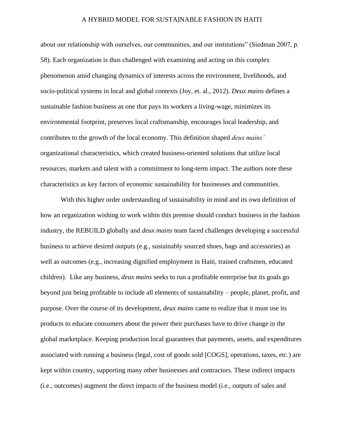about our relationship with ourselves, our communities, and our institutions" (Siedman 2007, p. 58). Each organization is thus challenged with examining and acting on this complex phenomenon amid changing dynamics of interests across the environment, livelihoods, and socio-political systems in local and global contexts (Joy, et. al., 2012). *Deux mains* defines a sustainable fashion business as one that pays its workers a living-wage, minimizes its environmental footprint, preserves local craftsmanship, encourages local leadership, and contributes to the growth of the local economy. This definition shaped *deux mains'*  organizational characteristics, which created business-oriented solutions that utilize local resources, markets and talent with a commitment to long-term impact. The authors note these characteristics as key factors of economic sustainability for businesses and communities.

With this higher order understanding of sustainability in mind and its own definition of how an organization wishing to work within this premise should conduct business in the fashion industry, the REBUILD globally and *deux mains* team faced challenges developing a successful business to achieve desired outputs (e.g., sustainably sourced shoes, bags and accessories) as well as outcomes (e.g., increasing dignified employment in Haiti, trained craftsmen, educated children). Like any business, *deux mains* seeks to run a profitable enterprise but its goals go beyond just being profitable to include all elements of sustainability – people, planet, profit, and purpose. Over the course of its development, *deux mains* came to realize that it must use its products to educate consumers about the power their purchases have to drive change in the global marketplace. Keeping production local guarantees that payments, assets, and expenditures associated with running a business (legal, cost of goods sold [COGS], operations, taxes, etc.) are kept within country, supporting many other businesses and contractors. These indirect impacts (i.e., outcomes) augment the direct impacts of the business model (i.e., outputs of sales and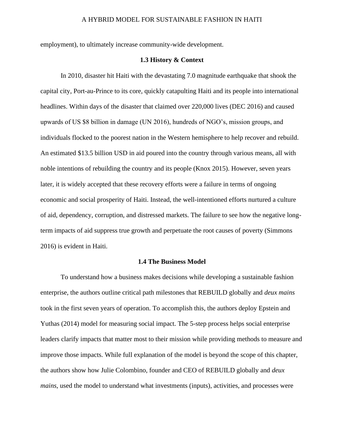employment), to ultimately increase community-wide development.

#### **1.3 History & Context**

In 2010, disaster hit Haiti with the devastating 7.0 magnitude earthquake that shook the capital city, Port-au-Prince to its core, quickly catapulting Haiti and its people into international headlines. Within days of the disaster that claimed over 220,000 lives (DEC 2016) and caused upwards of US \$8 billion in damage (UN 2016), hundreds of NGO's, mission groups, and individuals flocked to the poorest nation in the Western hemisphere to help recover and rebuild. An estimated \$13.5 billion USD in aid poured into the country through various means, all with noble intentions of rebuilding the country and its people (Knox 2015). However, seven years later, it is widely accepted that these recovery efforts were a failure in terms of ongoing economic and social prosperity of Haiti. Instead, the well-intentioned efforts nurtured a culture of aid, dependency, corruption, and distressed markets. The failure to see how the negative longterm impacts of aid suppress true growth and perpetuate the root causes of poverty (Simmons 2016) is evident in Haiti.

#### **1.4 The Business Model**

To understand how a business makes decisions while developing a sustainable fashion enterprise, the authors outline critical path milestones that REBUILD globally and *deux mains*  took in the first seven years of operation. To accomplish this, the authors deploy Epstein and Yuthas (2014) model for measuring social impact. The 5-step process helps social enterprise leaders clarify impacts that matter most to their mission while providing methods to measure and improve those impacts. While full explanation of the model is beyond the scope of this chapter, the authors show how Julie Colombino, founder and CEO of REBUILD globally and *deux mains*, used the model to understand what investments (inputs), activities, and processes were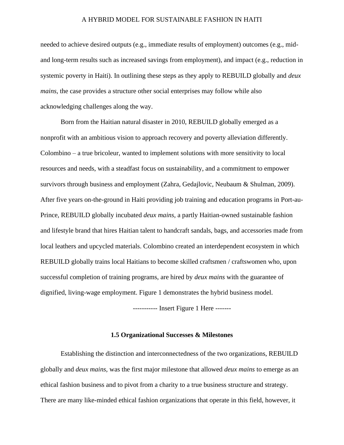needed to achieve desired outputs (e.g., immediate results of employment) outcomes (e.g., midand long-term results such as increased savings from employment), and impact (e.g., reduction in systemic poverty in Haiti). In outlining these steps as they apply to REBUILD globally and *deux mains*, the case provides a structure other social enterprises may follow while also acknowledging challenges along the way.

Born from the Haitian natural disaster in 2010, REBUILD globally emerged as a nonprofit with an ambitious vision to approach recovery and poverty alleviation differently. Colombino – a true bricoleur, wanted to implement solutions with more sensitivity to local resources and needs, with a steadfast focus on sustainability, and a commitment to empower survivors through business and employment (Zahra, Gedajlovic, Neubaum & Shulman, 2009). After five years on-the-ground in Haiti providing job training and education programs in Port-au-Prince, REBUILD globally incubated *deux mains,* a partly Haitian-owned sustainable fashion and lifestyle brand that hires Haitian talent to handcraft sandals, bags, and accessories made from local leathers and upcycled materials. Colombino created an interdependent ecosystem in which REBUILD globally trains local Haitians to become skilled craftsmen / craftswomen who, upon successful completion of training programs, are hired by *deux mains* with the guarantee of dignified, living-wage employment. Figure 1 demonstrates the hybrid business model.

----------- Insert Figure 1 Here -------

#### **1.5 Organizational Successes & Milestones**

Establishing the distinction and interconnectedness of the two organizations, REBUILD globally and *deux mains,* was the first major milestone that allowed *deux mains* to emerge as an ethical fashion business and to pivot from a charity to a true business structure and strategy. There are many like-minded ethical fashion organizations that operate in this field, however, it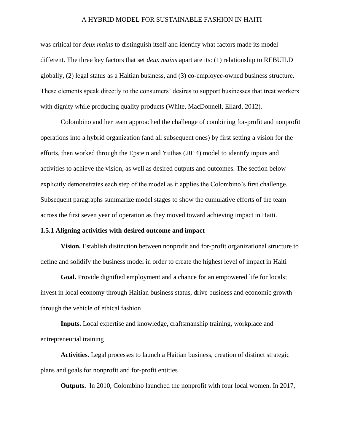was critical for *deux mains* to distinguish itself and identify what factors made its model different. The three key factors that set *deux mains* apart are its: (1) relationship to REBUILD globally, (2) legal status as a Haitian business, and (3) co-employee-owned business structure. These elements speak directly to the consumers' desires to support businesses that treat workers with dignity while producing quality products (White, MacDonnell, Ellard, 2012).

Colombino and her team approached the challenge of combining for-profit and nonprofit operations into a hybrid organization (and all subsequent ones) by first setting a vision for the efforts, then worked through the Epstein and Yuthas (2014) model to identify inputs and activities to achieve the vision, as well as desired outputs and outcomes. The section below explicitly demonstrates each step of the model as it applies the Colombino's first challenge. Subsequent paragraphs summarize model stages to show the cumulative efforts of the team across the first seven year of operation as they moved toward achieving impact in Haiti.

#### **1.5.1 Aligning activities with desired outcome and impact**

**Vision.** Establish distinction between nonprofit and for-profit organizational structure to define and solidify the business model in order to create the highest level of impact in Haiti

**Goal.** Provide dignified employment and a chance for an empowered life for locals; invest in local economy through Haitian business status, drive business and economic growth through the vehicle of ethical fashion

**Inputs.** Local expertise and knowledge, craftsmanship training, workplace and entrepreneurial training

**Activities.** Legal processes to launch a Haitian business, creation of distinct strategic plans and goals for nonprofit and for-profit entities

**Outputs.** In 2010, Colombino launched the nonprofit with four local women. In 2017,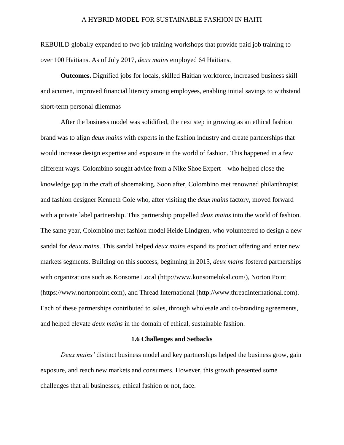REBUILD globally expanded to two job training workshops that provide paid job training to over 100 Haitians. As of July 2017, *deux mains* employed 64 Haitians.

**Outcomes.** Dignified jobs for locals, skilled Haitian workforce, increased business skill and acumen, improved financial literacy among employees, enabling initial savings to withstand short-term personal dilemmas

After the business model was solidified, the next step in growing as an ethical fashion brand was to align *deux mains* with experts in the fashion industry and create partnerships that would increase design expertise and exposure in the world of fashion. This happened in a few different ways. Colombino sought advice from a Nike Shoe Expert – who helped close the knowledge gap in the craft of shoemaking. Soon after, Colombino met renowned philanthropist and fashion designer Kenneth Cole who, after visiting the *deux mains* factory, moved forward with a private label partnership. This partnership propelled *deux mains* into the world of fashion. The same year, Colombino met fashion model Heide Lindgren, who volunteered to design a new sandal for *deux mains*. This sandal helped *deux mains* expand its product offering and enter new markets segments. Building on this success, beginning in 2015, *deux mains* fostered partnerships with organizations such as Konsome Local (http://www.konsomelokal.com/), Norton Point (https://www.nortonpoint.com), and Thread International (http://www.threadinternational.com). Each of these partnerships contributed to sales, through wholesale and co-branding agreements, and helped elevate *deux mains* in the domain of ethical, sustainable fashion.

#### **1.6 Challenges and Setbacks**

*Deux mains'* distinct business model and key partnerships helped the business grow, gain exposure, and reach new markets and consumers. However, this growth presented some challenges that all businesses, ethical fashion or not, face.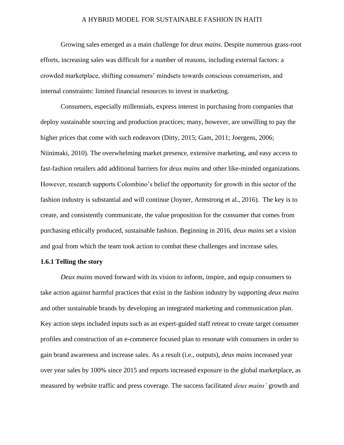Growing sales emerged as a main challenge for *deux mains*. Despite numerous grass-root efforts, increasing sales was difficult for a number of reasons, including external factors: a crowded marketplace, shifting consumers' mindsets towards conscious consumerism, and internal constraints: limited financial resources to invest in marketing.

Consumers, especially millennials, express interest in purchasing from companies that deploy sustainable sourcing and production practices; many, however, are unwilling to pay the higher prices that come with such endeavors (Ditty, 2015; Gam, 2011; Joergens, 2006; Niinimaki, 2010). The overwhelming market presence, extensive marketing, and easy access to fast-fashion retailers add additional barriers for *deux mains* and other like-minded organizations. However, research supports Colombino's belief the opportunity for growth in this sector of the fashion industry is substantial and will continue (Joyner, Armstrong et al., 2016). The key is to create, and consistently communicate, the value proposition for the consumer that comes from purchasing ethically produced, sustainable fashion. Beginning in 2016, *deux mains* set a vision and goal from which the team took action to combat these challenges and increase sales.

## **1.6.1 Telling the story**

*Deux mains* moved forward with its vision to inform, inspire, and equip consumers to take action against harmful practices that exist in the fashion industry by supporting *deux mains* and other sustainable brands by developing an integrated marketing and communication plan. Key action steps included inputs such as an expert-guided staff retreat to create target consumer profiles and construction of an e-commerce focused plan to resonate with consumers in order to gain brand awareness and increase sales. As a result (i.e., outputs), *deux mains* increased year over year sales by 100% since 2015 and reports increased exposure in the global marketplace, as measured by website traffic and press coverage. The success facilitated *deux mains'* growth and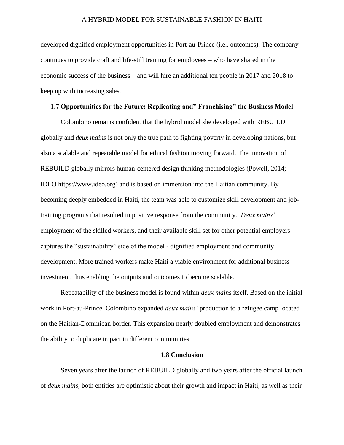developed dignified employment opportunities in Port-au-Prince (i.e., outcomes). The company continues to provide craft and life-still training for employees – who have shared in the economic success of the business – and will hire an additional ten people in 2017 and 2018 to keep up with increasing sales.

## **1.7 Opportunities for the Future: Replicating and" Franchising" the Business Model**

Colombino remains confident that the hybrid model she developed with REBUILD globally and *deux mains* is not only the true path to fighting poverty in developing nations, but also a scalable and repeatable model for ethical fashion moving forward. The innovation of REBUILD globally mirrors human-centered design thinking methodologies (Powell, 2014; IDEO https://www.ideo.org) and is based on immersion into the Haitian community. By becoming deeply embedded in Haiti, the team was able to customize skill development and jobtraining programs that resulted in positive response from the community. *Deux mains'*  employment of the skilled workers, and their available skill set for other potential employers captures the "sustainability" side of the model - dignified employment and community development. More trained workers make Haiti a viable environment for additional business investment, thus enabling the outputs and outcomes to become scalable.

Repeatability of the business model is found within *deux mains* itself. Based on the initial work in Port-au-Prince, Colombino expanded *deux mains'* production to a refugee camp located on the Haitian-Dominican border. This expansion nearly doubled employment and demonstrates the ability to duplicate impact in different communities.

#### **1.8 Conclusion**

Seven years after the launch of REBUILD globally and two years after the official launch of *deux mains,* both entities are optimistic about their growth and impact in Haiti, as well as their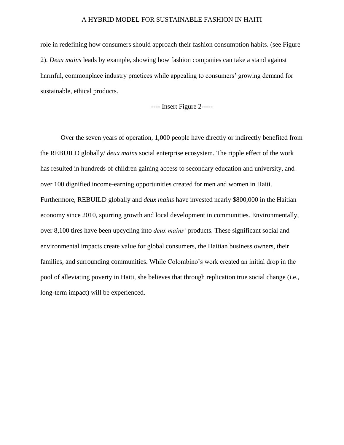role in redefining how consumers should approach their fashion consumption habits. (see Figure 2). *Deux mains* leads by example, showing how fashion companies can take a stand against harmful, commonplace industry practices while appealing to consumers' growing demand for sustainable, ethical products.

---- Insert Figure 2-----

Over the seven years of operation, 1,000 people have directly or indirectly benefited from the REBUILD globally/ *deux mains* social enterprise ecosystem. The ripple effect of the work has resulted in hundreds of children gaining access to secondary education and university, and over 100 dignified income-earning opportunities created for men and women in Haiti. Furthermore, REBUILD globally and *deux mains* have invested nearly \$800,000 in the Haitian economy since 2010, spurring growth and local development in communities. Environmentally, over 8,100 tires have been upcycling into *deux mains'* products. These significant social and environmental impacts create value for global consumers, the Haitian business owners, their families, and surrounding communities. While Colombino's work created an initial drop in the pool of alleviating poverty in Haiti, she believes that through replication true social change (i.e., long-term impact) will be experienced.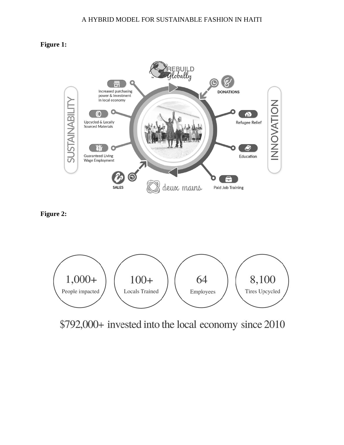



**Figure 2:**



\$792,000+ invested into the local economy since 2010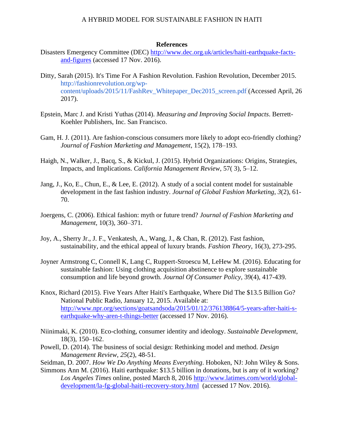#### **References**

- Disasters Emergency Committee (DEC) [http://www.dec.org.uk/articles/haiti-earthquake-facts](http://www.dec.org.uk/articles/haiti-earthquake-facts-and-figures)[and-figures](http://www.dec.org.uk/articles/haiti-earthquake-facts-and-figures) (accessed 17 Nov. 2016).
- Ditty, Sarah (2015). It's Time For A Fashion Revolution. Fashion Revolution, December 2015[.](http://fashionrevolution.org/wp-content/uploads/2015/11/FashRev_Whitepaper_Dec2015_screen.pdf) [http://fashionrevolution.org/wp](http://fashionrevolution.org/wp-content/uploads/2015/11/FashRev_Whitepaper_Dec2015_screen.pdf)[content/uploads/2015/11/FashRev\\_Whitepaper\\_Dec2015\\_screen.pdf](http://fashionrevolution.org/wp-content/uploads/2015/11/FashRev_Whitepaper_Dec2015_screen.pdf) (Accessed April, 26 2017).
- Epstein, Marc J. and Kristi Yuthas (2014). *Measuring and Improving Social Impacts*. Berrett-Koehler Publishers, Inc. San Francisco.
- Gam, H. J. (2011). Are fashion-conscious consumers more likely to adopt eco-friendly clothing? *Journal of Fashion Marketing and Management*, 15(2), 178–193.
- Haigh, N., Walker, J., Bacq, S., & Kickul, J. (2015). Hybrid Organizations: Origins, Strategies, Impacts, and Implications. *California Management Review*, 57( 3), 5–12.
- Jang, J., Ko, E., Chun, E., & Lee, E. (2012). A study of a social content model for sustainable development in the fast fashion industry. *Journal of Global Fashion Marketing*, *3*(2), 61- 70.
- Joergens, C. (2006). Ethical fashion: myth or future trend? *Journal of Fashion Marketing and Management*, 10(3), 360–371.
- Joy, A., Sherry Jr., J. F., Venkatesh, A., Wang, J., & Chan, R. (2012). Fast fashion, sustainability, and the ethical appeal of luxury brands. *Fashion Theory*, 16(3), 273-295.
- Joyner Armstrong C, Connell K, Lang C, Ruppert-Stroescu M, LeHew M. (2016). Educating for sustainable fashion: Using clothing acquisition abstinence to explore sustainable consumption and life beyond growth. *Journal Of Consumer Policy*, 39(4), 417-439.
- Knox, Richard (2015). Five Years After Haiti's Earthquake, Where Did The \$13.5 Billion Go? National Public Radio, January 12, 2015. Available at[:](http://www.npr.org/sections/goatsandsoda/2015/01/12/376138864/5-years-after-haiti-s-earthquake-why-aren-t-things-better) [http://www.npr.org/sections/goatsandsoda/2015/01/12/376138864/5-years-after-haiti-s](http://www.npr.org/sections/goatsandsoda/2015/01/12/376138864/5-years-after-haiti-s-earthquake-why-aren-t-things-better)[earthquake-why-aren-t-things-better](http://www.npr.org/sections/goatsandsoda/2015/01/12/376138864/5-years-after-haiti-s-earthquake-why-aren-t-things-better) (accessed 17 Nov. 2016).
- Niinimaki, K. (2010). Eco-clothing, consumer identity and ideology. *Sustainable Development*, 18(3), 150–162.
- Powell, D. (2014). The business of social design: Rethinking model and method. *Design Management Review*, *25*(2), 48-51.

Seidman, D. 2007. *How We Do Anything Means Everything*. Hoboken, NJ: John Wiley & Sons.

Simmons Ann M. (2016). Haiti earthquake: \$13.5 billion in donations, but is any of it working? *Los Angeles Times* online, posted March 8, 201[6](http://www.latimes.com/world/global-development/la-fg-global-haiti-recovery-story.html) [http://www.latimes.com/world/global](http://www.latimes.com/world/global-development/la-fg-global-haiti-recovery-story.html)[development/la-fg-global-haiti-recovery-story.html](http://www.latimes.com/world/global-development/la-fg-global-haiti-recovery-story.html) (accessed 17 Nov. 2016).